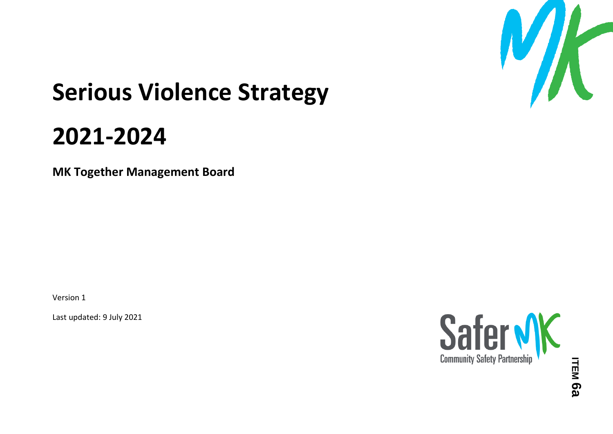

# **Serious Violence Strategy**

## **2021-2024**

**MK Together Management Board**

Version 1

Last updated: 9 July 2021

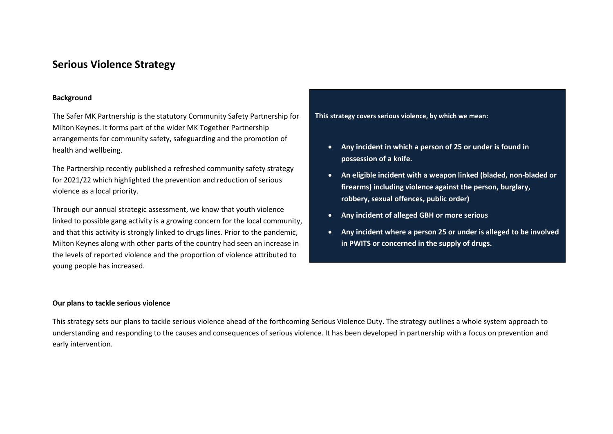### **Serious Violence Strategy**

#### **Background**

The Safer MK Partnership is the statutory Community Safety Partnership for Milton Keynes. It forms part of the wider MK Together Partnership arrangements for community safety, safeguarding and the promotion of health and wellbeing.

The Partnership recently published a refreshed community safety strategy for 2021/22 which highlighted the prevention and reduction of serious violence as a local priority.

Through our annual strategic assessment, we know that youth violence linked to possible gang activity is a growing concern for the local community, and that this activity is strongly linked to drugs lines. Prior to the pandemic, Milton Keynes along with other parts of the country had seen an increase in the levels of reported violence and the proportion of violence attributed to young people has increased.

#### **This strategy covers serious violence, by which we mean:**

- **Any incident in which a person of 25 or under is found in possession of a knife.**
- **An eligible incident with a weapon linked (bladed, non-bladed or firearms) including violence against the person, burglary, robbery, sexual offences, public order)**
- **Any incident of alleged GBH or more serious**
- **Any incident where a person 25 or under is alleged to be involved in PWITS or concerned in the supply of drugs.**

#### **Our plans to tackle serious violence**

This strategy sets our plans to tackle serious violence ahead of the forthcoming Serious Violence Duty. The strategy outlines a whole system approach to understanding and responding to the causes and consequences of serious violence. It has been developed in partnership with a focus on prevention and early intervention.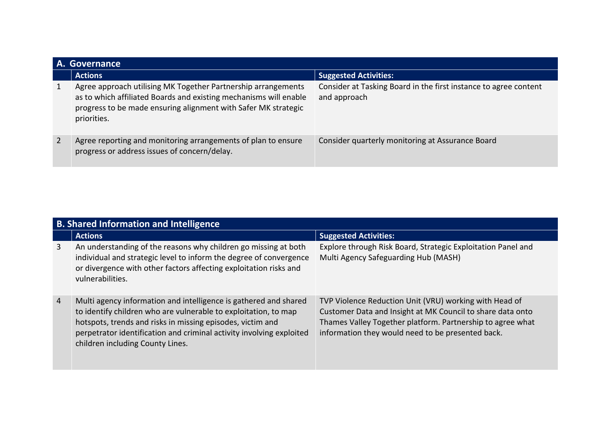|                | A. Governance                                                                                                                                                                                                       |                                                                                  |  |
|----------------|---------------------------------------------------------------------------------------------------------------------------------------------------------------------------------------------------------------------|----------------------------------------------------------------------------------|--|
|                | <b>Actions</b>                                                                                                                                                                                                      | <b>Suggested Activities:</b>                                                     |  |
| 1              | Agree approach utilising MK Together Partnership arrangements<br>as to which affiliated Boards and existing mechanisms will enable<br>progress to be made ensuring alignment with Safer MK strategic<br>priorities. | Consider at Tasking Board in the first instance to agree content<br>and approach |  |
| $\overline{2}$ | Agree reporting and monitoring arrangements of plan to ensure<br>progress or address issues of concern/delay.                                                                                                       | Consider quarterly monitoring at Assurance Board                                 |  |

|                | <b>B. Shared Information and Intelligence</b>                                                                                                                                                                                                                                                                 |                                                                                                                                                                                                                                         |  |
|----------------|---------------------------------------------------------------------------------------------------------------------------------------------------------------------------------------------------------------------------------------------------------------------------------------------------------------|-----------------------------------------------------------------------------------------------------------------------------------------------------------------------------------------------------------------------------------------|--|
|                | <b>Actions</b>                                                                                                                                                                                                                                                                                                | <b>Suggested Activities:</b>                                                                                                                                                                                                            |  |
| 3              | An understanding of the reasons why children go missing at both<br>individual and strategic level to inform the degree of convergence<br>or divergence with other factors affecting exploitation risks and<br>vulnerabilities.                                                                                | Explore through Risk Board, Strategic Exploitation Panel and<br>Multi Agency Safeguarding Hub (MASH)                                                                                                                                    |  |
| $\overline{4}$ | Multi agency information and intelligence is gathered and shared<br>to identify children who are vulnerable to exploitation, to map<br>hotspots, trends and risks in missing episodes, victim and<br>perpetrator identification and criminal activity involving exploited<br>children including County Lines. | TVP Violence Reduction Unit (VRU) working with Head of<br>Customer Data and Insight at MK Council to share data onto<br>Thames Valley Together platform. Partnership to agree what<br>information they would need to be presented back. |  |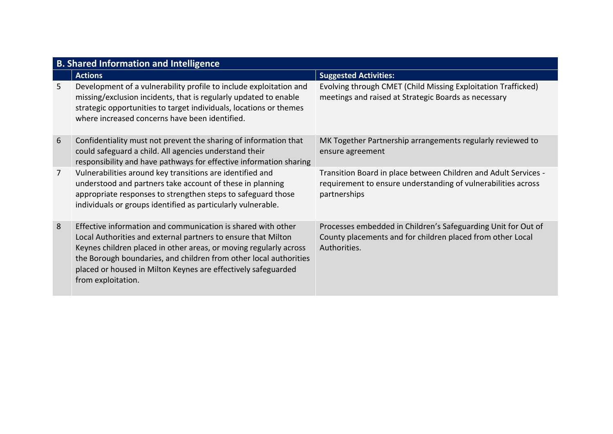|                | <b>B. Shared Information and Intelligence</b>                                                                                                                                                                                                                                                                                                                  |                                                                                                                                                  |  |
|----------------|----------------------------------------------------------------------------------------------------------------------------------------------------------------------------------------------------------------------------------------------------------------------------------------------------------------------------------------------------------------|--------------------------------------------------------------------------------------------------------------------------------------------------|--|
|                | <b>Actions</b>                                                                                                                                                                                                                                                                                                                                                 | <b>Suggested Activities:</b>                                                                                                                     |  |
| 5.             | Development of a vulnerability profile to include exploitation and<br>missing/exclusion incidents, that is regularly updated to enable<br>strategic opportunities to target individuals, locations or themes<br>where increased concerns have been identified.                                                                                                 | Evolving through CMET (Child Missing Exploitation Trafficked)<br>meetings and raised at Strategic Boards as necessary                            |  |
| 6              | Confidentiality must not prevent the sharing of information that<br>could safeguard a child. All agencies understand their<br>responsibility and have pathways for effective information sharing                                                                                                                                                               | MK Together Partnership arrangements regularly reviewed to<br>ensure agreement                                                                   |  |
| $\overline{7}$ | Vulnerabilities around key transitions are identified and<br>understood and partners take account of these in planning<br>appropriate responses to strengthen steps to safeguard those<br>individuals or groups identified as particularly vulnerable.                                                                                                         | Transition Board in place between Children and Adult Services -<br>requirement to ensure understanding of vulnerabilities across<br>partnerships |  |
| 8              | Effective information and communication is shared with other<br>Local Authorities and external partners to ensure that Milton<br>Keynes children placed in other areas, or moving regularly across<br>the Borough boundaries, and children from other local authorities<br>placed or housed in Milton Keynes are effectively safeguarded<br>from exploitation. | Processes embedded in Children's Safeguarding Unit for Out of<br>County placements and for children placed from other Local<br>Authorities.      |  |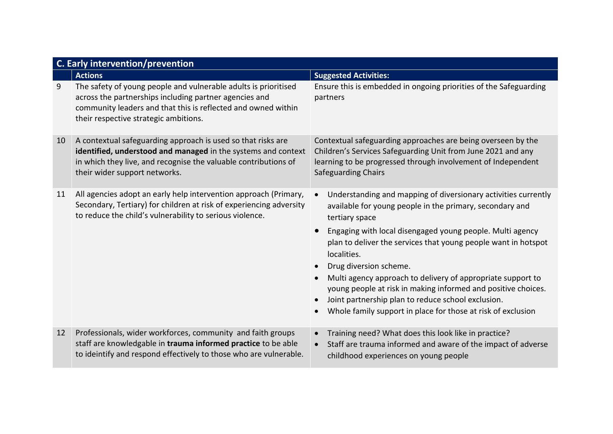|    | <b>C. Early intervention/prevention</b>                                                                                                                                                                                             |                                                                                                                                                                                                                                                                                                                                                                                                                                                                                                                                                                            |  |
|----|-------------------------------------------------------------------------------------------------------------------------------------------------------------------------------------------------------------------------------------|----------------------------------------------------------------------------------------------------------------------------------------------------------------------------------------------------------------------------------------------------------------------------------------------------------------------------------------------------------------------------------------------------------------------------------------------------------------------------------------------------------------------------------------------------------------------------|--|
|    | <b>Actions</b>                                                                                                                                                                                                                      | <b>Suggested Activities:</b>                                                                                                                                                                                                                                                                                                                                                                                                                                                                                                                                               |  |
| 9  | The safety of young people and vulnerable adults is prioritised<br>across the partnerships including partner agencies and<br>community leaders and that this is reflected and owned within<br>their respective strategic ambitions. | Ensure this is embedded in ongoing priorities of the Safeguarding<br>partners                                                                                                                                                                                                                                                                                                                                                                                                                                                                                              |  |
| 10 | A contextual safeguarding approach is used so that risks are<br>identified, understood and managed in the systems and context<br>in which they live, and recognise the valuable contributions of<br>their wider support networks.   | Contextual safeguarding approaches are being overseen by the<br>Children's Services Safeguarding Unit from June 2021 and any<br>learning to be progressed through involvement of Independent<br><b>Safeguarding Chairs</b>                                                                                                                                                                                                                                                                                                                                                 |  |
| 11 | All agencies adopt an early help intervention approach (Primary,<br>Secondary, Tertiary) for children at risk of experiencing adversity<br>to reduce the child's vulnerability to serious violence.                                 | Understanding and mapping of diversionary activities currently<br>available for young people in the primary, secondary and<br>tertiary space<br>Engaging with local disengaged young people. Multi agency<br>plan to deliver the services that young people want in hotspot<br>localities.<br>Drug diversion scheme.<br>Multi agency approach to delivery of appropriate support to<br>young people at risk in making informed and positive choices.<br>Joint partnership plan to reduce school exclusion.<br>Whole family support in place for those at risk of exclusion |  |
| 12 | Professionals, wider workforces, community and faith groups<br>staff are knowledgable in trauma informed practice to be able<br>to ideintify and respond effectively to those who are vulnerable.                                   | Training need? What does this look like in practice?<br>Staff are trauma informed and aware of the impact of adverse<br>childhood experiences on young people                                                                                                                                                                                                                                                                                                                                                                                                              |  |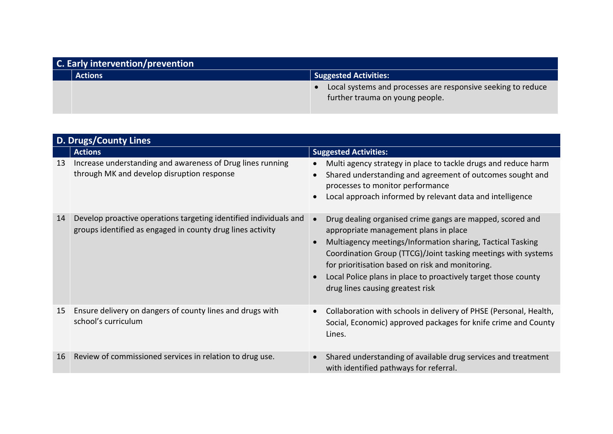| <b>C.</b> Early intervention/prevention |                                                                                                 |
|-----------------------------------------|-------------------------------------------------------------------------------------------------|
| <b>Actions</b>                          | <b>Suggested Activities:</b>                                                                    |
|                                         | Local systems and processes are responsive seeking to reduce<br>further trauma on young people. |

|    | <b>D. Drugs/County Lines</b>                                                                                                    |                                                                                                                                                                                                                                                                                                                                                                                                                       |  |
|----|---------------------------------------------------------------------------------------------------------------------------------|-----------------------------------------------------------------------------------------------------------------------------------------------------------------------------------------------------------------------------------------------------------------------------------------------------------------------------------------------------------------------------------------------------------------------|--|
|    | <b>Actions</b>                                                                                                                  | <b>Suggested Activities:</b>                                                                                                                                                                                                                                                                                                                                                                                          |  |
| 13 | Increase understanding and awareness of Drug lines running<br>through MK and develop disruption response                        | Multi agency strategy in place to tackle drugs and reduce harm<br>$\bullet$<br>Shared understanding and agreement of outcomes sought and<br>$\bullet$<br>processes to monitor performance<br>Local approach informed by relevant data and intelligence<br>$\bullet$                                                                                                                                                   |  |
| 14 | Develop proactive operations targeting identified individuals and<br>groups identified as engaged in county drug lines activity | Drug dealing organised crime gangs are mapped, scored and<br>appropriate management plans in place<br>Multiagency meetings/Information sharing, Tactical Tasking<br>$\bullet$<br>Coordination Group (TTCG)/Joint tasking meetings with systems<br>for prioritisation based on risk and monitoring.<br>Local Police plans in place to proactively target those county<br>$\bullet$<br>drug lines causing greatest risk |  |
| 15 | Ensure delivery on dangers of county lines and drugs with<br>school's curriculum                                                | Collaboration with schools in delivery of PHSE (Personal, Health,<br>$\bullet$<br>Social, Economic) approved packages for knife crime and County<br>Lines.                                                                                                                                                                                                                                                            |  |
| 16 | Review of commissioned services in relation to drug use.                                                                        | Shared understanding of available drug services and treatment<br>with identified pathways for referral.                                                                                                                                                                                                                                                                                                               |  |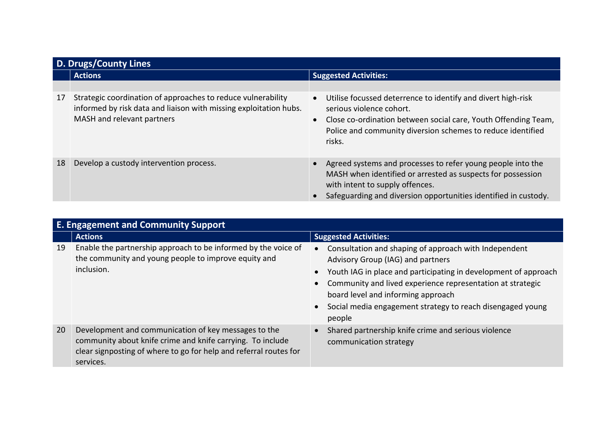|    | D. Drugs/County Lines                                                                                                                                           |                                                                                                                                                                                                                                                               |  |
|----|-----------------------------------------------------------------------------------------------------------------------------------------------------------------|---------------------------------------------------------------------------------------------------------------------------------------------------------------------------------------------------------------------------------------------------------------|--|
|    | <b>Actions</b>                                                                                                                                                  | <b>Suggested Activities:</b>                                                                                                                                                                                                                                  |  |
|    |                                                                                                                                                                 |                                                                                                                                                                                                                                                               |  |
| 17 | Strategic coordination of approaches to reduce vulnerability<br>informed by risk data and liaison with missing exploitation hubs.<br>MASH and relevant partners | Utilise focussed deterrence to identify and divert high-risk<br>$\bullet$<br>serious violence cohort.<br>Close co-ordination between social care, Youth Offending Team,<br>$\bullet$<br>Police and community diversion schemes to reduce identified<br>risks. |  |
| 18 | Develop a custody intervention process.                                                                                                                         | Agreed systems and processes to refer young people into the<br>MASH when identified or arrested as suspects for possession<br>with intent to supply offences.<br>Safeguarding and diversion opportunities identified in custody.                              |  |

|    | <b>E. Engagement and Community Support</b>                                                                                                                                                           |                                                                                                                                                                                                                                                                                                                                                                       |  |
|----|------------------------------------------------------------------------------------------------------------------------------------------------------------------------------------------------------|-----------------------------------------------------------------------------------------------------------------------------------------------------------------------------------------------------------------------------------------------------------------------------------------------------------------------------------------------------------------------|--|
|    | <b>Actions</b>                                                                                                                                                                                       | <b>Suggested Activities:</b>                                                                                                                                                                                                                                                                                                                                          |  |
| 19 | Enable the partnership approach to be informed by the voice of<br>the community and young people to improve equity and<br>inclusion.                                                                 | Consultation and shaping of approach with Independent<br>$\bullet$<br>Advisory Group (IAG) and partners<br>• Youth IAG in place and participating in development of approach<br>Community and lived experience representation at strategic<br>board level and informing approach<br>Social media engagement strategy to reach disengaged young<br>$\bullet$<br>people |  |
| 20 | Development and communication of key messages to the<br>community about knife crime and knife carrying. To include<br>clear signposting of where to go for help and referral routes for<br>services. | Shared partnership knife crime and serious violence<br>communication strategy                                                                                                                                                                                                                                                                                         |  |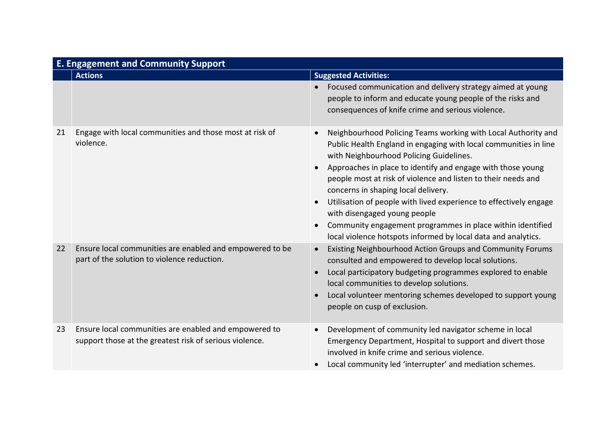|    | <b>E. Engagement and Community Support</b>                                                                       |                                                                                                                                                                                                                                                                                                                                                                                                                                                                                                                                                                                                                                             |  |
|----|------------------------------------------------------------------------------------------------------------------|---------------------------------------------------------------------------------------------------------------------------------------------------------------------------------------------------------------------------------------------------------------------------------------------------------------------------------------------------------------------------------------------------------------------------------------------------------------------------------------------------------------------------------------------------------------------------------------------------------------------------------------------|--|
|    | <b>Actions</b>                                                                                                   | <b>Suggested Activities:</b>                                                                                                                                                                                                                                                                                                                                                                                                                                                                                                                                                                                                                |  |
|    |                                                                                                                  | Focused communication and delivery strategy aimed at young<br>people to inform and educate young people of the risks and<br>consequences of knife crime and serious violence.                                                                                                                                                                                                                                                                                                                                                                                                                                                               |  |
| 21 | Engage with local communities and those most at risk of<br>violence.                                             | Neighbourhood Policing Teams working with Local Authority and<br>$\bullet$<br>Public Health England in engaging with local communities in line<br>with Neighbourhood Policing Guidelines.<br>Approaches in place to identify and engage with those young<br>$\bullet$<br>people most at risk of violence and listen to their needs and<br>concerns in shaping local delivery.<br>Utilisation of people with lived experience to effectively engage<br>$\bullet$<br>with disengaged young people<br>Community engagement programmes in place within identified<br>$\bullet$<br>local violence hotspots informed by local data and analytics. |  |
| 22 | Ensure local communities are enabled and empowered to be<br>part of the solution to violence reduction.          | Existing Neighbourhood Action Groups and Community Forums<br>$\bullet$<br>consulted and empowered to develop local solutions.<br>Local participatory budgeting programmes explored to enable<br>$\bullet$<br>local communities to develop solutions.<br>Local volunteer mentoring schemes developed to support young<br>$\bullet$<br>people on cusp of exclusion.                                                                                                                                                                                                                                                                           |  |
| 23 | Ensure local communities are enabled and empowered to<br>support those at the greatest risk of serious violence. | Development of community led navigator scheme in local<br>$\bullet$<br>Emergency Department, Hospital to support and divert those<br>involved in knife crime and serious violence.<br>Local community led 'interrupter' and mediation schemes.<br>$\bullet$                                                                                                                                                                                                                                                                                                                                                                                 |  |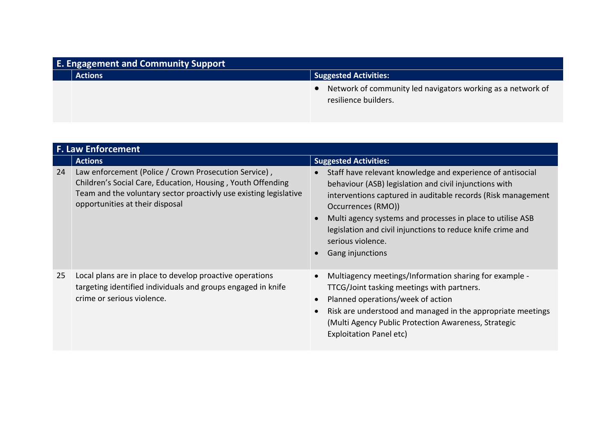| <b>E. Engagement and Community Support</b> |                |                                                                                     |
|--------------------------------------------|----------------|-------------------------------------------------------------------------------------|
|                                            | <b>Actions</b> | <b>Suggested Activities:</b>                                                        |
|                                            |                | Network of community led navigators working as a network of<br>resilience builders. |

|    | <b>F. Law Enforcement</b>                                                                                                                                                                                                    |                                                                                                                                                                                                                                                                                                                                                                                  |  |
|----|------------------------------------------------------------------------------------------------------------------------------------------------------------------------------------------------------------------------------|----------------------------------------------------------------------------------------------------------------------------------------------------------------------------------------------------------------------------------------------------------------------------------------------------------------------------------------------------------------------------------|--|
|    | <b>Actions</b>                                                                                                                                                                                                               | <b>Suggested Activities:</b>                                                                                                                                                                                                                                                                                                                                                     |  |
| 24 | Law enforcement (Police / Crown Prosecution Service),<br>Children's Social Care, Education, Housing, Youth Offending<br>Team and the voluntary sector proactivly use existing legislative<br>opportunities at their disposal | Staff have relevant knowledge and experience of antisocial<br>behaviour (ASB) legislation and civil injunctions with<br>interventions captured in auditable records (Risk management<br>Occurrences (RMO))<br>Multi agency systems and processes in place to utilise ASB<br>legislation and civil injunctions to reduce knife crime and<br>serious violence.<br>Gang injunctions |  |
| 25 | Local plans are in place to develop proactive operations<br>targeting identified individuals and groups engaged in knife<br>crime or serious violence.                                                                       | Multiagency meetings/Information sharing for example -<br>TTCG/Joint tasking meetings with partners.<br>Planned operations/week of action<br>Risk are understood and managed in the appropriate meetings<br>(Multi Agency Public Protection Awareness, Strategic<br><b>Exploitation Panel etc)</b>                                                                               |  |